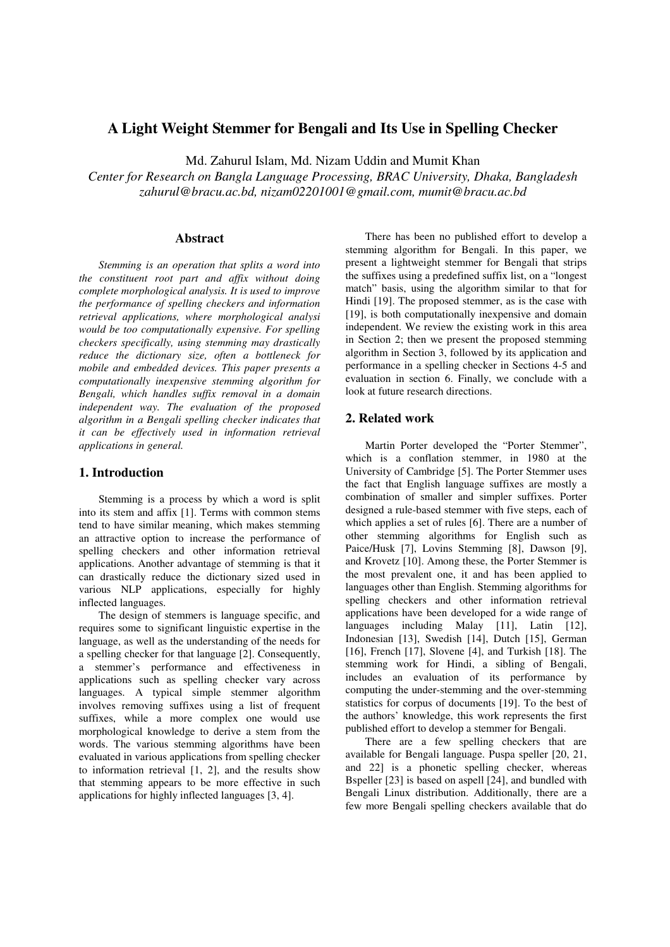# **A Light Weight Stemmer for Bengali and Its Use in Spelling Checker**

Md. Zahurul Islam, Md. Nizam Uddin and Mumit Khan

*Center for Research on Bangla Language Processing, BRAC University, Dhaka, Bangladesh zahurul@bracu.ac.bd, nizam02201001@gmail.com, mumit@bracu.ac.bd* 

## **Abstract**

*Stemming is an operation that splits a word into the constituent root part and affix without doing complete morphological analysis. It is used to improve the performance of spelling checkers and information retrieval applications, where morphological analysi would be too computationally expensive. For spelling checkers specifically, using stemming may drastically reduce the dictionary size, often a bottleneck for mobile and embedded devices. This paper presents a computationally inexpensive stemming algorithm for Bengali, which handles suffix removal in a domain independent way. The evaluation of the proposed algorithm in a Bengali spelling checker indicates that it can be effectively used in information retrieval applications in general.* 

## **1. Introduction**

Stemming is a process by which a word is split into its stem and affix [1]. Terms with common stems tend to have similar meaning, which makes stemming an attractive option to increase the performance of spelling checkers and other information retrieval applications. Another advantage of stemming is that it can drastically reduce the dictionary sized used in various NLP applications, especially for highly inflected languages.

The design of stemmers is language specific, and requires some to significant linguistic expertise in the language, as well as the understanding of the needs for a spelling checker for that language [2]. Consequently, a stemmer's performance and effectiveness in applications such as spelling checker vary across languages. A typical simple stemmer algorithm involves removing suffixes using a list of frequent suffixes, while a more complex one would use morphological knowledge to derive a stem from the words. The various stemming algorithms have been evaluated in various applications from spelling checker to information retrieval [1, 2], and the results show that stemming appears to be more effective in such applications for highly inflected languages [3, 4].

There has been no published effort to develop a stemming algorithm for Bengali. In this paper, we present a lightweight stemmer for Bengali that strips the suffixes using a predefined suffix list, on a "longest match" basis, using the algorithm similar to that for Hindi [19]. The proposed stemmer, as is the case with [19], is both computationally inexpensive and domain independent. We review the existing work in this area in Section 2; then we present the proposed stemming algorithm in Section 3, followed by its application and performance in a spelling checker in Sections 4-5 and evaluation in section 6. Finally, we conclude with a look at future research directions.

#### **2. Related work**

Martin Porter developed the "Porter Stemmer", which is a conflation stemmer, in 1980 at the University of Cambridge [5]. The Porter Stemmer uses the fact that English language suffixes are mostly a combination of smaller and simpler suffixes. Porter designed a rule-based stemmer with five steps, each of which applies a set of rules [6]. There are a number of other stemming algorithms for English such as Paice/Husk [7], Lovins Stemming [8], Dawson [9], and Krovetz [10]. Among these, the Porter Stemmer is the most prevalent one, it and has been applied to languages other than English. Stemming algorithms for spelling checkers and other information retrieval applications have been developed for a wide range of languages including Malay [11], Latin [12], Indonesian [13], Swedish [14], Dutch [15], German [16], French [17], Slovene [4], and Turkish [18]. The stemming work for Hindi, a sibling of Bengali, includes an evaluation of its performance by computing the under-stemming and the over-stemming statistics for corpus of documents [19]. To the best of the authors' knowledge, this work represents the first published effort to develop a stemmer for Bengali.

There are a few spelling checkers that are available for Bengali language. Puspa speller [20, 21, and 22] is a phonetic spelling checker, whereas Bspeller [23] is based on aspell [24], and bundled with Bengali Linux distribution. Additionally, there are a few more Bengali spelling checkers available that do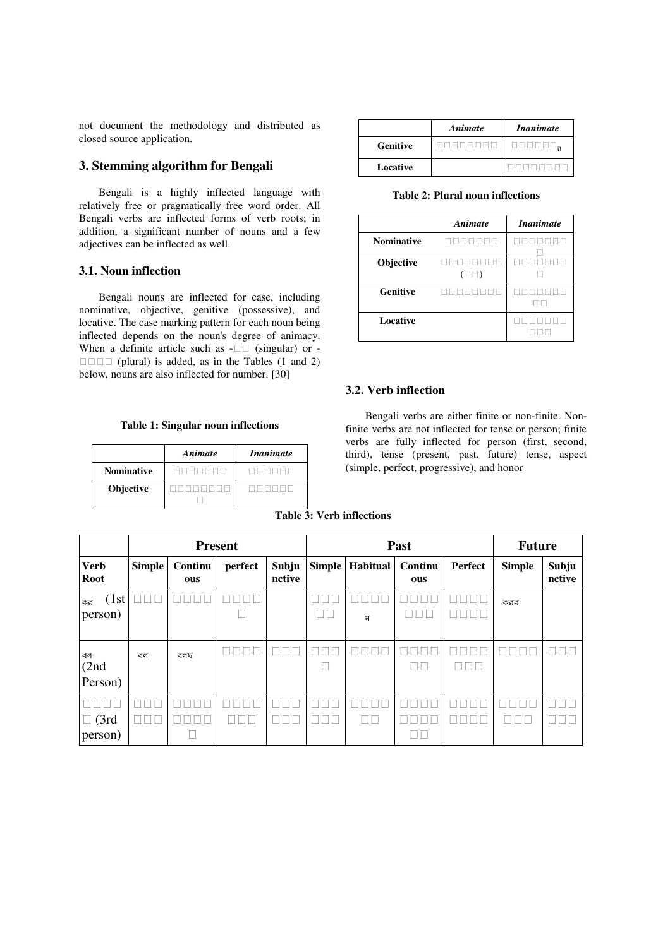not document the methodology and distributed as closed source application.

# **3. Stemming algorithm for Bengali**

Bengali is a highly inflected language with relatively free or pragmatically free word order. All Bengali verbs are inflected forms of verb roots; in addition, a significant number of nouns and a few adjectives can be inflected as well.

## **3.1. Noun inflection**

Bengali nouns are inflected for case, including nominative, objective, genitive (possessive), and locative. The case marking pattern for each noun being inflected depends on the noun's degree of animacy. When a definite article such as - (singular) or -

 (plural) is added, as in the Tables (1 and 2) below, nouns are also inflected for number. [30]

|  |  |  |  | Table 1: Singular noun inflections |
|--|--|--|--|------------------------------------|
|--|--|--|--|------------------------------------|

|                   | Animate | <i>Inanimate</i> |
|-------------------|---------|------------------|
| <b>Nominative</b> |         |                  |
| Objective         |         |                  |
|                   |         |                  |

|                 | Animate | <i>Inanimate</i> |
|-----------------|---------|------------------|
| <b>Genitive</b> |         | র                |
| Locative        |         |                  |

**Table 2: Plural noun inflections** 

|                   | Animate | <i>Inanimate</i> |
|-------------------|---------|------------------|
| <b>Nominative</b> |         |                  |
| Objective         |         |                  |
| <b>Genitive</b>   |         |                  |
| Locative          |         |                  |

#### **3.2. Verb inflection**

Bengali verbs are either finite or non-finite. Nonfinite verbs are not inflected for tense or person; finite verbs are fully inflected for person (first, second, third), tense (present, past. future) tense, aspect (simple, perfect, progressive), and honor

**Table 3: Verb inflections** 

|                            | <b>Present</b> |                |         | Past            |  |                   | <b>Future</b>  |         |               |                 |
|----------------------------|----------------|----------------|---------|-----------------|--|-------------------|----------------|---------|---------------|-----------------|
| <b>Verb</b><br><b>Root</b> | <b>Simple</b>  | Continu<br>ous | perfect | Subju<br>nctive |  | Simple   Habitual | Continu<br>ous | Perfect | <b>Simple</b> | Subju<br>nctive |
| (1st)<br>কর<br>person)     |                |                |         |                 |  | ম                 |                |         | করব           |                 |
| বল<br>(2nd)<br>Person)     | বল             | বলছ            |         |                 |  |                   |                |         |               |                 |
| (3rd)<br>person)           |                |                |         |                 |  |                   |                |         |               |                 |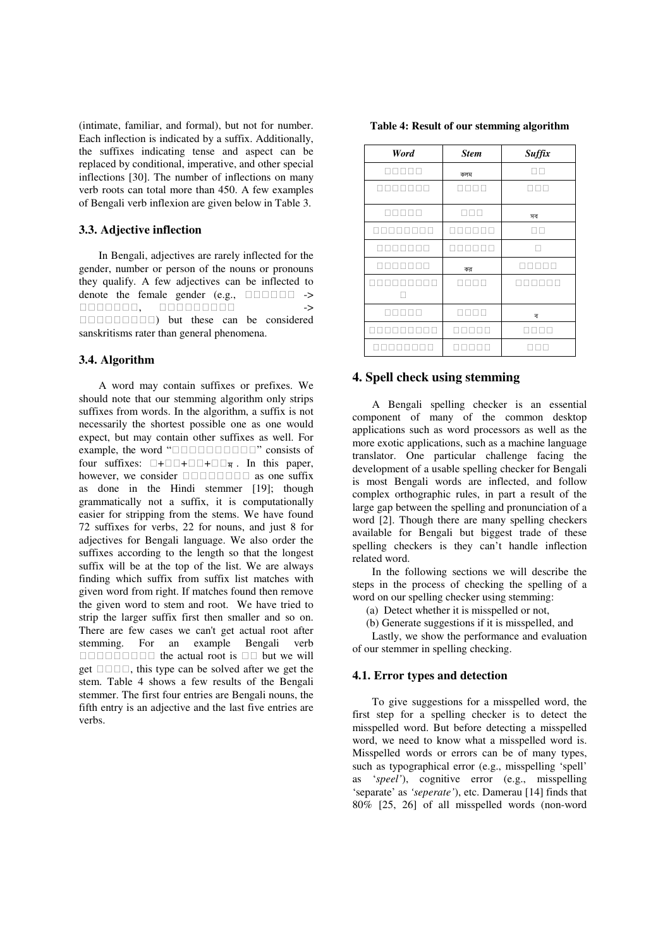(intimate, familiar, and formal), but not for number. Each inflection is indicated by a suffix. Additionally, the suffixes indicating tense and aspect can be replaced by conditional, imperative, and other special inflections [30]. The number of inflections on many verb roots can total more than 450. A few examples of Bengali verb inflexion are given below in Table 3.

### **3.3. Adjective inflection**

In Bengali, adjectives are rarely inflected for the gender, number or person of the nouns or pronouns they qualify. A few adjectives can be inflected to denote the female gender  $(e.g., \rightarrow)$ , ->

) but these can be considered sanskritisms rater than general phenomena.

#### **3.4. Algorithm**

A word may contain suffixes or prefixes. We should note that our stemming algorithm only strips suffixes from words. In the algorithm, a suffix is not necessarily the shortest possible one as one would expect, but may contain other suffixes as well. For example, the word " $\frac{1}{2}$ " consists of four suffixes:  $\frac{1}{2}$  +  $\frac{1}{2}$  +  $\frac{1}{2}$  +  $\frac{1}{2}$  +  $\frac{1}{2}$  +  $\frac{1}{2}$  +  $\frac{1}{2}$  +  $\frac{1}{2}$  +  $\frac{1}{2}$  +  $\frac{1}{2}$  +  $\frac{1}{2}$  +  $\frac{1}{2}$  +  $\frac{1}{2}$  +  $\frac{1}{2}$  $f + f + \overline{x}$ . In this paper, asider as one suffix however, we consider as done in the Hindi stemmer [19]; though grammatically not a suffix, it is computationally easier for stripping from the stems. We have found 72 suffixes for verbs, 22 for nouns, and just 8 for adjectives for Bengali language. We also order the suffixes according to the length so that the longest suffix will be at the top of the list. We are always finding which suffix from suffix list matches with given word from right. If matches found then remove the given word to stem and root. We have tried to strip the larger suffix first then smaller and so on. There are few cases we can't get actual root after stemming. For an example Bengali verb the actual root is but we will get , this type can be solved after we get the stem. Table 4 shows a few results of the Bengali stemmer. The first four entries are Bengali nouns, the fifth entry is an adjective and the last five entries are verbs.

| Word | <b>Stem</b> | Suffix |
|------|-------------|--------|
|      | কলম         |        |
|      |             |        |
|      |             |        |
|      |             | সব     |
|      |             |        |
|      |             |        |
|      | কর          |        |
|      |             |        |
|      |             |        |
|      |             | ব      |
|      |             |        |
|      |             |        |

#### **4. Spell check using stemming**

A Bengali spelling checker is an essential component of many of the common desktop applications such as word processors as well as the more exotic applications, such as a machine language translator. One particular challenge facing the development of a usable spelling checker for Bengali is most Bengali words are inflected, and follow complex orthographic rules, in part a result of the large gap between the spelling and pronunciation of a word [2]. Though there are many spelling checkers available for Bengali but biggest trade of these spelling checkers is they can't handle inflection related word.

In the following sections we will describe the steps in the process of checking the spelling of a word on our spelling checker using stemming:

(a) Detect whether it is misspelled or not,

(b) Generate suggestions if it is misspelled, and

Lastly, we show the performance and evaluation of our stemmer in spelling checking.

#### **4.1. Error types and detection**

To give suggestions for a misspelled word, the first step for a spelling checker is to detect the misspelled word. But before detecting a misspelled word, we need to know what a misspelled word is. Misspelled words or errors can be of many types, such as typographical error (e.g., misspelling 'spell' as '*speel'*), cognitive error (e.g., misspelling 'separate' as *'seperate'*), etc. Damerau [14] finds that 80% [25, 26] of all misspelled words (non-word

**Table 4: Result of our stemming algorithm**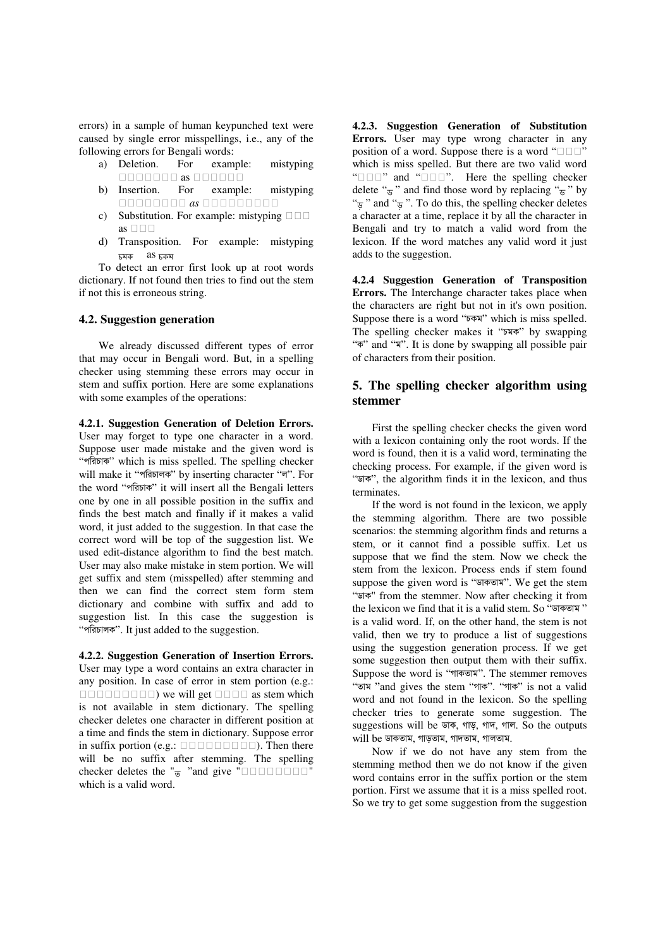errors) in a sample of human keypunched text were caused by single error misspellings, i.e., any of the following errors for Bengali words:

- a) Deletion. For example: mistyping as
- b) Insertion. For example: mistyping  *as*
- c) Substitution. For example: mistyping as
- d) Transposition. For example: mistyping চমক <mark>as চক</mark>ম

To detect an error first look up at root words dictionary. If not found then tries to find out the stem if not this is erroneous string.

## **4.2. Suggestion generation**

We already discussed different types of error that may occur in Bengali word. But, in a spelling checker using stemming these errors may occur in stem and suffix portion. Here are some explanations with some examples of the operations:

**4.2.1. Suggestion Generation of Deletion Errors.**  User may forget to type one character in a word. Suppose user made mistake and the given word is "পরিচাক" which is miss spelled. The spelling checker will make it "পরিচালক" by inserting character "ল". For the word "পরিচাক" it will insert all the Bengali letters one by one in all possible position in the suffix and finds the best match and finally if it makes a valid word, it just added to the suggestion. In that case the correct word will be top of the suggestion list. We used edit-distance algorithm to find the best match. User may also make mistake in stem portion. We will get suffix and stem (misspelled) after stemming and then we can find the correct stem form stem dictionary and combine with suffix and add to suggestion list. In this case the suggestion is "পরিচালক". It just added to the suggestion.

**4.2.2. Suggestion Generation of Insertion Errors.**  User may type a word contains an extra character in any position. In case of error in stem portion (e.g.: ) we will get as stem which is not available in stem dictionary. The spelling checker deletes one character in different position at a time and finds the stem in dictionary. Suppose error in suffix portion (e.g.: ). Then there will be no suffix after stemming. The spelling checker deletes the " $\frac{1}{9}$  "and give "" which is a valid word.

**4.2.3. Suggestion Generation of Substitution Errors.** User may type wrong character in any position of a word. Suppose there is a word " which is miss spelled. But there are two valid word " and "". Here the spelling checker" delete " $\frac{1}{9}$ " and find those word by replacing " $\frac{1}{9}$ " by " $\frac{1}{\sigma}$ " and " $\frac{1}{\sigma}$ ". To do this, the spelling checker deletes a character at a time, replace it by all the character in Bengali and try to match a valid word from the lexicon. If the word matches any valid word it just adds to the suggestion.

**4.2.4 Suggestion Generation of Transposition Errors.** The Interchange character takes place when the characters are right but not in it's own position. Suppose there is a word " $\overline{p}$ " which is miss spelled. The spelling checker makes it "চমক" by swapping """ and """. It is done by swapping all possible pair of characters from their position.

# **5. The spelling checker algorithm using stemmer**

First the spelling checker checks the given word with a lexicon containing only the root words. If the word is found, then it is a valid word, terminating the checking process. For example, if the given word is " $\overline{p}$ ", the algorithm finds it in the lexicon, and thus terminates.

If the word is not found in the lexicon, we apply the stemming algorithm. There are two possible scenarios: the stemming algorithm finds and returns a stem, or it cannot find a possible suffix. Let us suppose that we find the stem. Now we check the stem from the lexicon. Process ends if stem found suppose the given word is "ডাকতাম". We get the stem "ডাক" from the stemmer. Now after checking it from the lexicon we find that it is a valid stem. So "ডাকতাম" is a valid word. If, on the other hand, the stem is not valid, then we try to produce a list of suggestions using the suggestion generation process. If we get some suggestion then output them with their suffix. Suppose the word is "গাকতাম". The stemmer removes " $\overline{X}$ "and gives the stem "গাৰু". "গাৰু" is not a valid word and not found in the lexicon. So the spelling checker tries to generate some suggestion. The suggestions will be ডাক, গাড়, গাদ, গাল. So the outputs will be ডাকতাম, গাড়তাম, গাদতাম, গালতাম.

Now if we do not have any stem from the stemming method then we do not know if the given word contains error in the suffix portion or the stem portion. First we assume that it is a miss spelled root. So we try to get some suggestion from the suggestion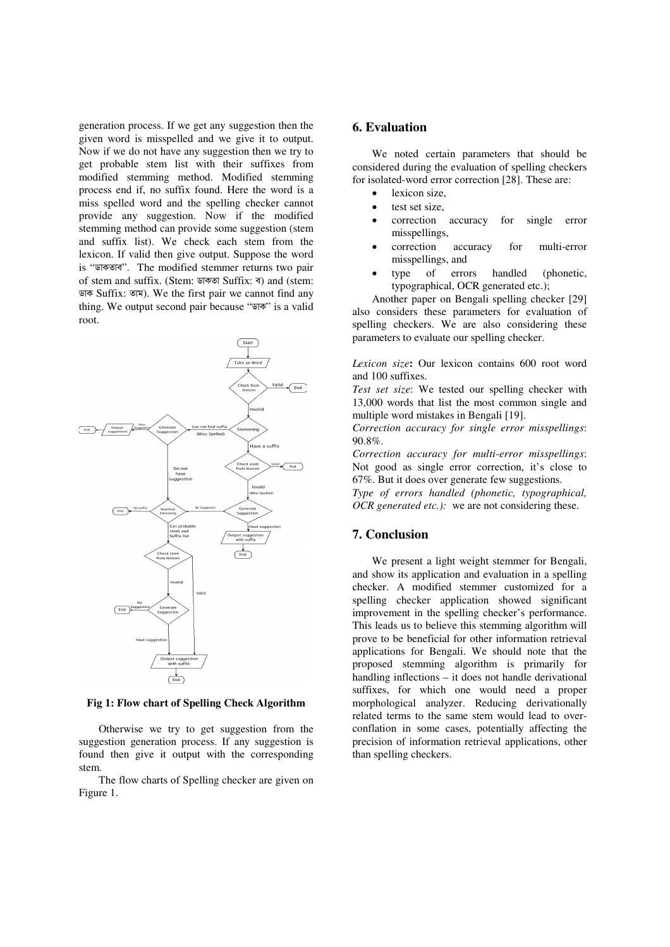generation process. If we get any suggestion then the given word is misspelled and we give it to output. Now if we do not have any suggestion then we try to get probable stem list with their suffixes from modified stemming method. Modified stemming process end if, no suffix found. Here the word is a miss spelled word and the spelling checker cannot provide any suggestion. Now if the modified stemming method can provide some suggestion (stem and suffix list). We check each stem from the lexicon. If valid then give output. Suppose the word is "ডাকতাব". The modified stemmer returns two pair of stem and suffix. (Stem: ডাকতা Suffix: ব) and (stem: Suffix: ). We the first pair we cannot find any thing. We output second pair because "Tow" is a valid root.



**Fig 1: Flow chart of Spelling Check Algorithm** 

Otherwise we try to get suggestion from the suggestion generation process. If any suggestion is found then give it output with the corresponding stem.

The flow charts of Spelling checker are given on Figure 1.

## **6. Evaluation**

We noted certain parameters that should be considered during the evaluation of spelling checkers for isolated-word error correction [28]. These are:

- lexicon size.
- test set size,
- correction accuracy for single error misspellings,
- correction accuracy for multi-error misspellings, and
- type of errors handled (phonetic, typographical, OCR generated etc.);

Another paper on Bengali spelling checker [29] also considers these parameters for evaluation of spelling checkers. We are also considering these parameters to evaluate our spelling checker.

*Lexicon size***:** Our lexicon contains 600 root word and 100 suffixes.

*Test set size*: We tested our spelling checker with 13,000 words that list the most common single and multiple word mistakes in Bengali [19].

*Correction accuracy for single error misspellings*: 90.8%.

*Correction accuracy for multi-error misspellings*: Not good as single error correction, it's close to 67%. But it does over generate few suggestions.

*Type of errors handled (phonetic, typographical, OCR generated etc.):* we are not considering these.

## **7. Conclusion**

We present a light weight stemmer for Bengali, and show its application and evaluation in a spelling checker. A modified stemmer customized for a spelling checker application showed significant improvement in the spelling checker's performance. This leads us to believe this stemming algorithm will prove to be beneficial for other information retrieval applications for Bengali. We should note that the proposed stemming algorithm is primarily for handling inflections – it does not handle derivational suffixes, for which one would need a proper morphological analyzer. Reducing derivationally related terms to the same stem would lead to overconflation in some cases, potentially affecting the precision of information retrieval applications, other than spelling checkers.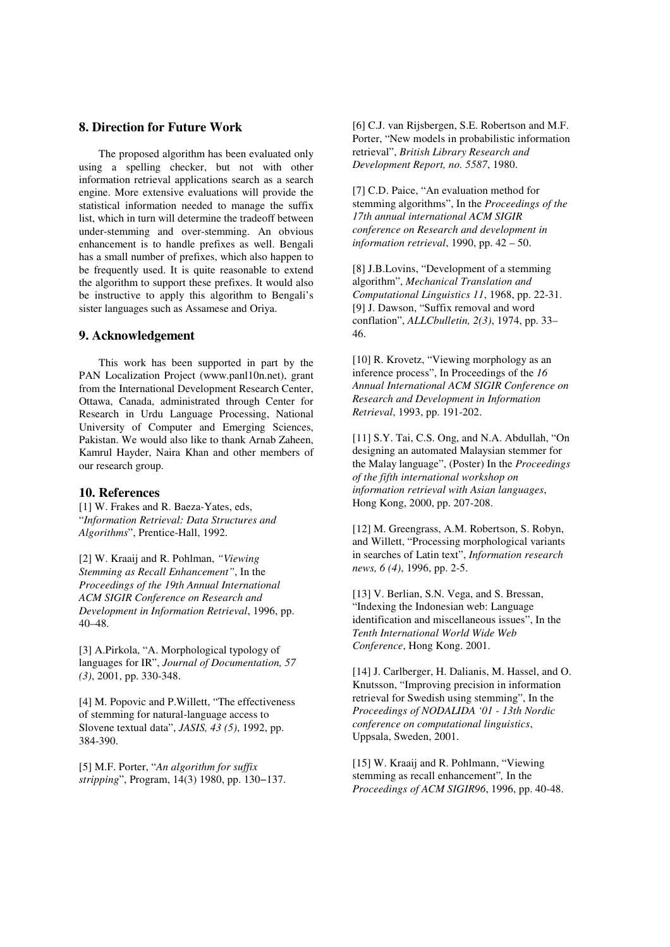## **8. Direction for Future Work**

The proposed algorithm has been evaluated only using a spelling checker, but not with other information retrieval applications search as a search engine. More extensive evaluations will provide the statistical information needed to manage the suffix list, which in turn will determine the tradeoff between under-stemming and over-stemming. An obvious enhancement is to handle prefixes as well. Bengali has a small number of prefixes, which also happen to be frequently used. It is quite reasonable to extend the algorithm to support these prefixes. It would also be instructive to apply this algorithm to Bengali's sister languages such as Assamese and Oriya.

#### **9. Acknowledgement**

This work has been supported in part by the PAN Localization Project (www.panl10n.net), grant from the International Development Research Center, Ottawa, Canada, administrated through Center for Research in Urdu Language Processing, National University of Computer and Emerging Sciences, Pakistan. We would also like to thank Arnab Zaheen, Kamrul Hayder, Naira Khan and other members of our research group.

#### **10. References**

[1] W. Frakes and R. Baeza-Yates, eds, "*Information Retrieval: Data Structures and Algorithms*", Prentice-Hall, 1992.

[2] W. Kraaij and R. Pohlman, *"Viewing Stemming as Recall Enhancement"*, In the *Proceedings of the 19th Annual International ACM SIGIR Conference on Research and Development in Information Retrieval*, 1996, pp. 40–48.

[3] A.Pirkola, "A. Morphological typology of languages for IR", *Journal of Documentation, 57 (3)*, 2001, pp. 330-348.

[4] M. Popovic and P.Willett, "The effectiveness of stemming for natural-language access to Slovene textual data", *JASIS, 43 (5)*, 1992, pp. 384-390.

[5] M.F. Porter, "*An algorithm for suffix stripping*", Program, 14(3) 1980, pp. 130−137.

[6] C.J. van Rijsbergen, S.E. Robertson and M.F. Porter, "New models in probabilistic information retrieval", *British Library Research and Development Report, no. 5587*, 1980.

[7] C.D. Paice, "An evaluation method for stemming algorithms", In the *Proceedings of the 17th annual international ACM SIGIR conference on Research and development in information retrieval*, 1990, pp. 42 – 50.

[8] J.B.Lovins, "Development of a stemming algorithm", *Mechanical Translation and Computational Linguistics 11*, 1968, pp. 22-31. [9] J. Dawson, "Suffix removal and word conflation", *ALLCbulletin, 2(3)*, 1974, pp. 33– 46.

[10] R. Krovetz, "Viewing morphology as an inference process", In Proceedings of the *16 Annual International ACM SIGIR Conference on Research and Development in Information Retrieval*, 1993, pp. 191-202.

[11] S.Y. Tai, C.S. Ong, and N.A. Abdullah, "On designing an automated Malaysian stemmer for the Malay language", (Poster) In the *Proceedings of the fifth international workshop on information retrieval with Asian languages*, Hong Kong, 2000, pp. 207-208.

[12] M. Greengrass, A.M. Robertson, S. Robyn, and Willett, "Processing morphological variants in searches of Latin text", *Information research news, 6 (4)*, 1996, pp. 2-5.

[13] V. Berlian, S.N. Vega, and S. Bressan, "Indexing the Indonesian web: Language identification and miscellaneous issues", In the *Tenth International World Wide Web Conference*, Hong Kong. 2001.

[14] J. Carlberger, H. Dalianis, M. Hassel, and O. Knutsson, "Improving precision in information retrieval for Swedish using stemming", In the *Proceedings of NODALIDA '01 - 13th Nordic conference on computational linguistics*, Uppsala, Sweden, 2001.

[15] W. Kraaij and R. Pohlmann, "Viewing stemming as recall enhancement"*,* In the *Proceedings of ACM SIGIR96*, 1996, pp. 40-48.